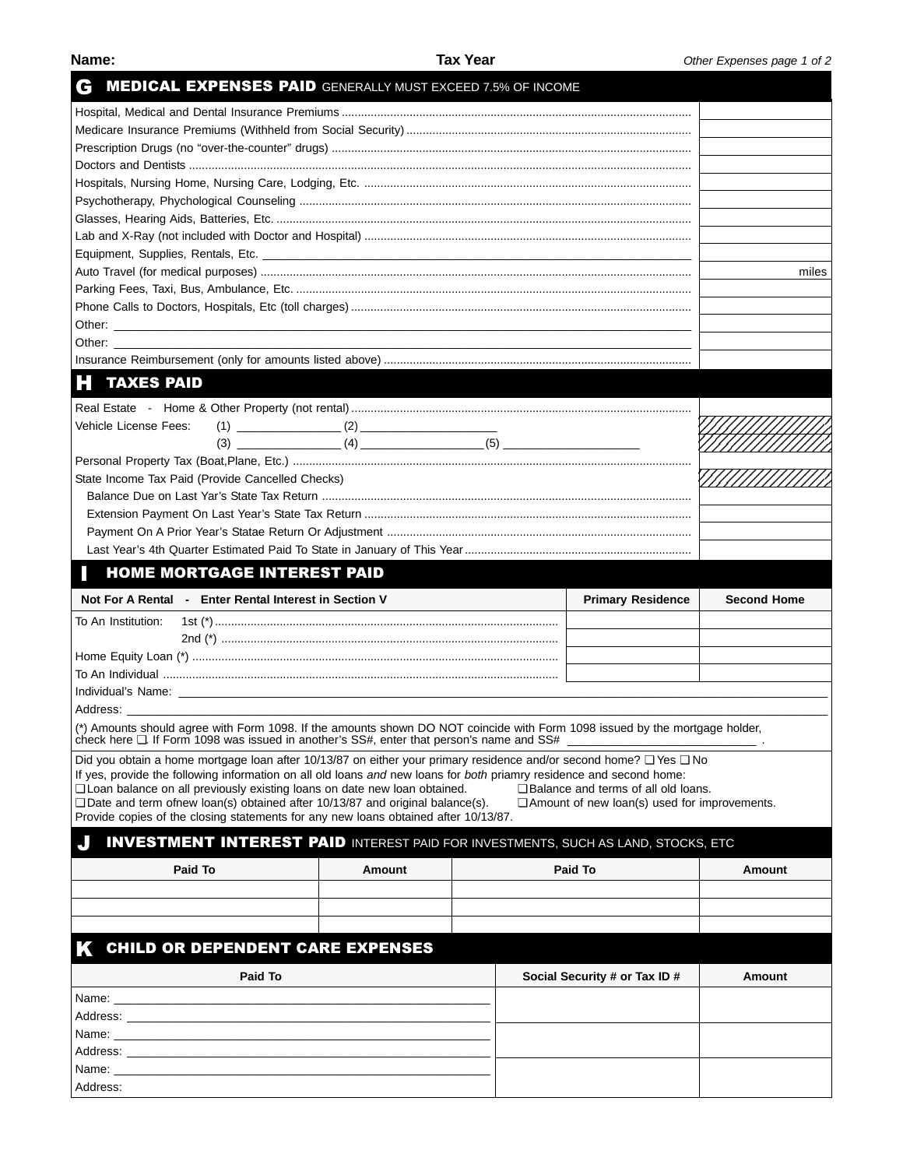| Name |  | ۰ |
|------|--|---|
|      |  |   |

| G                                                                                                    |                                                  | <b>MEDICAL EXPENSES PAID GENERALLY MUST EXCEED 7.5% OF INCOME</b>                                                                                                                                                       |  |  |                                                     |                    |  |  |
|------------------------------------------------------------------------------------------------------|--------------------------------------------------|-------------------------------------------------------------------------------------------------------------------------------------------------------------------------------------------------------------------------|--|--|-----------------------------------------------------|--------------------|--|--|
|                                                                                                      |                                                  |                                                                                                                                                                                                                         |  |  |                                                     |                    |  |  |
|                                                                                                      |                                                  |                                                                                                                                                                                                                         |  |  |                                                     |                    |  |  |
|                                                                                                      |                                                  |                                                                                                                                                                                                                         |  |  |                                                     |                    |  |  |
|                                                                                                      |                                                  |                                                                                                                                                                                                                         |  |  |                                                     |                    |  |  |
|                                                                                                      |                                                  |                                                                                                                                                                                                                         |  |  |                                                     |                    |  |  |
|                                                                                                      |                                                  |                                                                                                                                                                                                                         |  |  |                                                     |                    |  |  |
|                                                                                                      |                                                  |                                                                                                                                                                                                                         |  |  |                                                     |                    |  |  |
|                                                                                                      |                                                  |                                                                                                                                                                                                                         |  |  |                                                     |                    |  |  |
|                                                                                                      |                                                  |                                                                                                                                                                                                                         |  |  |                                                     |                    |  |  |
|                                                                                                      |                                                  |                                                                                                                                                                                                                         |  |  |                                                     |                    |  |  |
|                                                                                                      |                                                  |                                                                                                                                                                                                                         |  |  |                                                     |                    |  |  |
|                                                                                                      |                                                  |                                                                                                                                                                                                                         |  |  |                                                     |                    |  |  |
|                                                                                                      |                                                  |                                                                                                                                                                                                                         |  |  |                                                     |                    |  |  |
| Other: ________________                                                                              |                                                  |                                                                                                                                                                                                                         |  |  |                                                     |                    |  |  |
|                                                                                                      |                                                  |                                                                                                                                                                                                                         |  |  |                                                     |                    |  |  |
| <b>TAXES PAID</b><br>H                                                                               |                                                  |                                                                                                                                                                                                                         |  |  |                                                     |                    |  |  |
|                                                                                                      |                                                  |                                                                                                                                                                                                                         |  |  |                                                     |                    |  |  |
| Vehicle License Fees:                                                                                |                                                  |                                                                                                                                                                                                                         |  |  |                                                     |                    |  |  |
|                                                                                                      |                                                  |                                                                                                                                                                                                                         |  |  |                                                     |                    |  |  |
|                                                                                                      |                                                  |                                                                                                                                                                                                                         |  |  |                                                     |                    |  |  |
|                                                                                                      |                                                  |                                                                                                                                                                                                                         |  |  |                                                     |                    |  |  |
|                                                                                                      | State Income Tax Paid (Provide Cancelled Checks) |                                                                                                                                                                                                                         |  |  |                                                     |                    |  |  |
|                                                                                                      |                                                  |                                                                                                                                                                                                                         |  |  |                                                     |                    |  |  |
|                                                                                                      |                                                  |                                                                                                                                                                                                                         |  |  |                                                     |                    |  |  |
|                                                                                                      |                                                  |                                                                                                                                                                                                                         |  |  |                                                     |                    |  |  |
|                                                                                                      |                                                  |                                                                                                                                                                                                                         |  |  |                                                     |                    |  |  |
|                                                                                                      | <b>HOME MORTGAGE INTEREST PAID</b>               |                                                                                                                                                                                                                         |  |  |                                                     |                    |  |  |
|                                                                                                      |                                                  |                                                                                                                                                                                                                         |  |  |                                                     |                    |  |  |
| Not For A Rental - Enter Rental Interest in Section V                                                |                                                  |                                                                                                                                                                                                                         |  |  | <b>Primary Residence</b>                            | <b>Second Home</b> |  |  |
| To An Institution:                                                                                   |                                                  |                                                                                                                                                                                                                         |  |  |                                                     |                    |  |  |
|                                                                                                      |                                                  |                                                                                                                                                                                                                         |  |  |                                                     |                    |  |  |
|                                                                                                      |                                                  |                                                                                                                                                                                                                         |  |  |                                                     |                    |  |  |
|                                                                                                      |                                                  |                                                                                                                                                                                                                         |  |  |                                                     |                    |  |  |
|                                                                                                      |                                                  |                                                                                                                                                                                                                         |  |  |                                                     |                    |  |  |
| Address:                                                                                             |                                                  |                                                                                                                                                                                                                         |  |  |                                                     |                    |  |  |
|                                                                                                      |                                                  | (*) Amounts should agree with Form 1098. If the amounts shown DO NOT coincide with Form 1098 issued by the mortgage holder,<br>check here □. If Form 1098 was issued in another's SS#, enter that person's name and SS# |  |  |                                                     |                    |  |  |
|                                                                                                      |                                                  | Did you obtain a home mortgage loan after 10/13/87 on either your primary residence and/or second home? □ Yes □ No                                                                                                      |  |  |                                                     |                    |  |  |
|                                                                                                      |                                                  | If yes, provide the following information on all old loans and new loans for both priamry residence and second home:                                                                                                    |  |  |                                                     |                    |  |  |
|                                                                                                      |                                                  | Loan balance on all previously existing loans on date new loan obtained.                                                                                                                                                |  |  | □ Balance and terms of all old loans.               |                    |  |  |
|                                                                                                      |                                                  | $\Box$ Date and term of ew loan(s) obtained after 10/13/87 and original balance(s).                                                                                                                                     |  |  | $\Box$ Amount of new loan(s) used for improvements. |                    |  |  |
|                                                                                                      |                                                  | Provide copies of the closing statements for any new loans obtained after 10/13/87.                                                                                                                                     |  |  |                                                     |                    |  |  |
|                                                                                                      |                                                  | <b>INVESTMENT INTEREST PAID</b> INTEREST PAID FOR INVESTMENTS, SUCH AS LAND, STOCKS, ETC                                                                                                                                |  |  |                                                     |                    |  |  |
| Paid To                                                                                              |                                                  | Amount                                                                                                                                                                                                                  |  |  | Paid To                                             | Amount             |  |  |
|                                                                                                      |                                                  |                                                                                                                                                                                                                         |  |  |                                                     |                    |  |  |
|                                                                                                      |                                                  |                                                                                                                                                                                                                         |  |  |                                                     |                    |  |  |
|                                                                                                      |                                                  |                                                                                                                                                                                                                         |  |  |                                                     |                    |  |  |
|                                                                                                      |                                                  |                                                                                                                                                                                                                         |  |  |                                                     |                    |  |  |
|                                                                                                      |                                                  | <b>CHILD OR DEPENDENT CARE EXPENSES</b>                                                                                                                                                                                 |  |  |                                                     |                    |  |  |
|                                                                                                      | Paid To                                          |                                                                                                                                                                                                                         |  |  | Social Security # or Tax ID #                       | Amount             |  |  |
|                                                                                                      |                                                  |                                                                                                                                                                                                                         |  |  |                                                     |                    |  |  |
| Address: Address: Address: Address: Address: Address: Address: Address: Address: Address: Address: A |                                                  |                                                                                                                                                                                                                         |  |  |                                                     |                    |  |  |
|                                                                                                      |                                                  |                                                                                                                                                                                                                         |  |  |                                                     |                    |  |  |
| Address: Address: Address: Address: Address: Address: Address: Address: Address: Address: Address: A |                                                  |                                                                                                                                                                                                                         |  |  |                                                     |                    |  |  |
| Name: _<br>Address:                                                                                  |                                                  |                                                                                                                                                                                                                         |  |  |                                                     |                    |  |  |